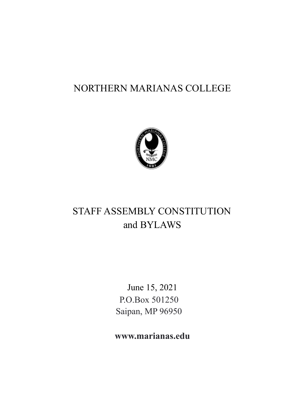## NORTHERN MARIANAS COLLEGE



# STAFF ASSEMBLY CONSTITUTION and BYLAWS

June 15, 2021 P.O.Box 501250 Saipan, MP 96950

**www.marianas.edu**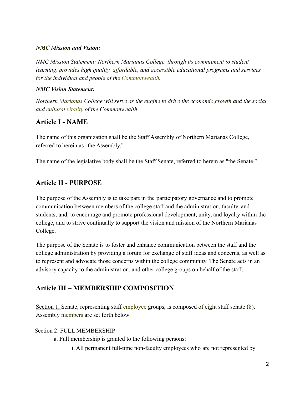### *NMC Mi***s***sion and Vision:*

*NMC Mission Statement: Northern Marianas College, through its commitment to student learning, provides high quality, affordable, and accessible educational programs and services for the individual and people of the Commonwealth.*

### *NMC Vision Statement:*

*Northern Marianas College will serve as the engine to drive the economic growth and the social and cultural vitality of the Commonwealth.*

## **Article I - NAME**

The name of this organization shall be the Staff Assembly of Northern Marianas College, referred to herein as "the Assembly."

The name of the legislative body shall be the Staff Senate, referred to herein as "the Senate."

## **Article II - PURPOSE**

The purpose of the Assembly is to take part in the participatory governance and to promote communication between members of the college staff and the administration, faculty, and students; and, to encourage and promote professional development, unity, and loyalty within the college, and to strive continually to support the vision and mission of the Northern Marianas College.

The purpose of the Senate is to foster and enhance communication between the staff and the college administration by providing a forum for exchange of staff ideas and concerns, as well as to represent and advocate those concerns within the college community. The Senate acts in an advisory capacity to the administration, and other college groups on behalf of the staff.

## **Article III – MEMBERSHIP COMPOSITION**

Section 1, Senate, representing staff employee groups, is composed of eight staff senate (8). Assembly members are set forth below:

## Section 2. FULL MEMBERSHIP

a. Full membership is granted to the following persons:

i. All permanent full-time non-faculty employees who are not represented by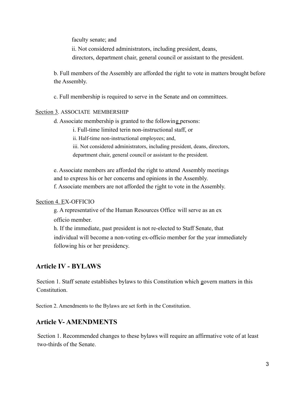faculty senate; and

ii. Not considered administrators, including president, deans, directors, department chair, general council or assistant to the president.

b. Full members of the Assembly are afforded the right to vote in matters brought before the Assembly.

c. Full membership is required to serve in the Senate and on committees.

#### Section 3. ASSOCIATE MEMBERSHIP

d. Associate membership is granted to the following persons:

i. Full-time limited terin non-instructional staff, or

ii. Half-time non-instructional employees; and,

iii. Not considered administrators, including president, deans, directors, department chair, general council or assistant to the president.

e. Associate members are afforded the right to attend Assembly meetings and to express his or her concerns and opinions in the Assembly. f. Associate members are not afforded the right to vote in the Assembly.

#### Section 4. EX-OFFICIO

g. A representative of the Human Resources Office will serve as an ex officio member.

h. If the immediate, past president is not re-elected to Staff Senate, that individual will become a non-voting ex-officio member for the year immediately following his or her presidency.

## **Article IV - BYLAWS**

Section 1. Staff senate establishes bylaws to this Constitution which govern matters in this Constitution.

Section 2. Amendments to the Bylaws are set forth in the Constitution.

## **Article V- AMENDMENTS**

Section 1. Recommended changes to these bylaws will require an affirmative vote of at least two-thirds of the Senate.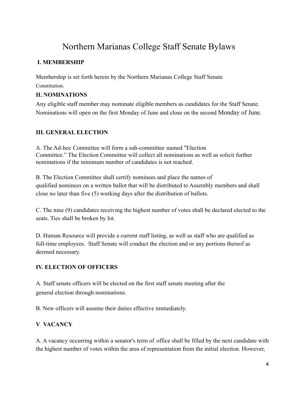## Northern Marianas College Staff Senate Bylaws

## **I. MEMBERSHIP**

Membership is set forth herein by the Northern Marianas College Staff Senate **Constitution** 

## **II. NOMINATIONS**

Any eligible staff member may nominate eligible members as candidates for the Staff Senate. Nominations will open on the first Monday of June and close on the second Monday of June.

## **III. GENERAL ELECTION**

A. The Ad-hoc Committee will form a sub-committee named "Election Committee." The Election Committee will collect all nominations as well as solicit further nominations if the minimum number of candidates is not reached.

B. The Election Committee shall certify nominees and place the names of qualified nominees on a written ballot that will be distributed to Assembly members and shall close no later than five (5) working days after the distribution of ballots.

C. The nine (9) candidates receiving the highest number of votes shall be declared elected to the seats. Ties shall be broken by lot.

D. Human Resource will provide a current staff listing, as well as staff who are qualified as full-time employees. Staff Senate will conduct the election and or any portions thereof as deemed necessary.

## **IV. ELECTION OF OFFICERS**

A. Staff senate officers will be elected on the first staff senate meeting after the general election through nominations.

B. New officers will assume their duties effective immediately.

## **V. VACANCY**

A. A vacancy occurring within a senator's term of office shall be filled by the next candidate with the highest number of votes within the area of representation from the initial election. However,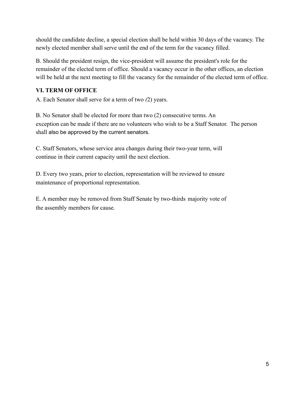should the candidate decline, a special election shall be held within 30 days of the vacancy. The newly elected member shall serve until the end of the term for the vacancy filled.

B. Should the president resign, the vice-president will assume the president's role for the remainder of the elected term of office. Should a vacancy occur in the other offices, an election will be held at the next meeting to fill the vacancy for the remainder of the elected term of office.

## **VI. TERM OF OFFICE**

A. Each Senator shall serve for a term of two *(*2) years.

B. No Senator shall be elected for more than two (2) consecutive terms. An exception can be made if there are no volunteers who wish to be a Staff Senator. The person shall also be approved by the current senators.

C. Staff Senators, whose service area changes during their two-year term, will continue in their current capacity until the next election.

D. Every two years, prior to election, representation will be reviewed to ensure maintenance of proportional representation.

E. A member may be removed from Staff Senate by two-thirds majority vote of the assembly members for cause.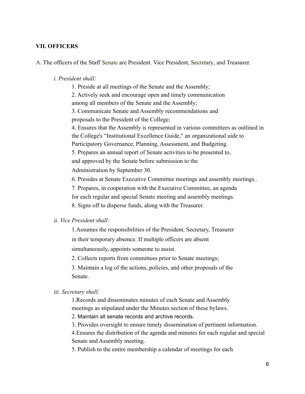#### **VII. OFFICERS**

A. The officers of the Staff Senate are President, Vice President, Secretary, and Treasurer.

#### *i. President shall:*

1. Preside at all meetings of the Senate and the Assembly;

2. Actively seek and encourage open and timely communication among all members of the Senate and the Assembly;

3. Communicate Senate and Assembly recommendations and proposals to the President of the College;

4. Ensures that the Assembly is represented in various committees as outlined in the College's "Institutional Excellence Guide," an organizational uide to Participatory Governance, Planning, Assessment, and Budgeting.

5. Prepares an annual report of Senate activities to be presented to, and approved by the Senate before submission to the

Administration by September 30.

6. Presides at Senate Executive Committee meetings and assembly meetings..

7. Prepares, in cooperation with the Executive Committee, an agenda

for each regular and special Senate meeting and assembly meetings.

8. Signs off to disperse funds, along with the Treasurer.

#### *ii. Vice President shall:*

1.Assumes the responsibilities of the President, Secretary, Treasurer in their temporary absence. If multiple officers are absent simultaneously, appoints someone to assist.

2. Collects reports from committees prior to Senate meetings;

3. Maintain a log of the actions, policies, and other proposals of the Senate.

#### *iii. Secretary shall:*

1.Records and disseminates minutes of each Senate and Assembly meetings as stipulated under the Minutes section of these bylaws.

2. Maintain all senate records and archive records.

3. Provides oversight to ensure timely dissemination of pertinent information.

4.Ensures the distribution of the agenda and minutes for each regular and special Senate and Assembly meeting.

5. Publish to the entire membership a calendar of meetings for each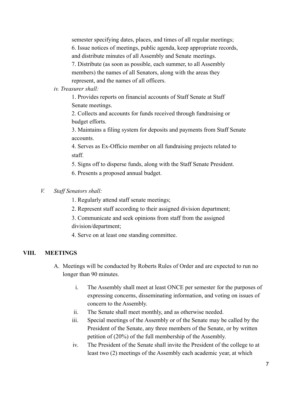semester specifying dates, places, and times of all regular meetings; 6. Issue notices of meetings, public agenda, keep appropriate records, and distribute minutes of all Assembly and Senate meetings. 7. Distribute (as soon as possible, each summer, to all Assembly members) the names of all Senators, along with the areas they

represent, and the names of all officers.

#### *iv. Treasurer shall:*

1. Provides reports on financial accounts of Staff Senate at Staff Senate meetings.

2. Collects and accounts for funds received through fundraising or budget efforts.

3. Maintains a filing system for deposits and payments from Staff Senate accounts.

4. Serves as Ex-Officio member on all fundraising projects related to staff.

5. Signs off to disperse funds, along with the Staff Senate President.

6. Presents a proposed annual budget.

### *V. Staff Senators shall:*

- 1. Regularly attend staff senate meetings;
- 2. Represent staff according to their assigned division department;

3. Communicate and seek opinions from staff from the assigned division*/*department;

4. Serve on at least one standing committee.

## **VIII. MEETINGS**

- A. Meetings will be conducted by Roberts Rules of Order and are expected to run no longer than 90 minutes.
	- i. The Assembly shall meet at least ONCE per semester for the purposes of expressing concerns, disseminating information, and voting on issues of concern to the Assembly.
	- ii. The Senate shall meet monthly, and as otherwise needed.
	- iii. Special meetings of the Assembly or of the Senate may be called by the President of the Senate, any three members of the Senate, or by written petition of (20%) of the full membership of the Assembly.
	- iv. The President of the Senate shall invite the President of the college to at least two (2) meetings of the Assembly each academic year, at which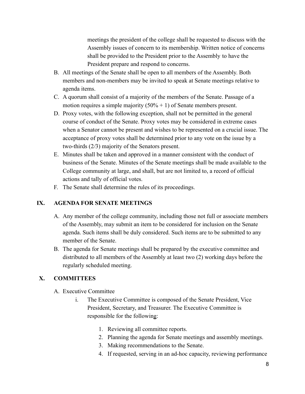meetings the president of the college shall be requested to discuss with the Assembly issues of concern to its membership. Written notice of concerns shall be provided to the President prior to the Assembly to have the President prepare and respond to concerns.

- B. All meetings of the Senate shall be open to all members of the Assembly. Both members and non-members may be invited to speak at Senate meetings relative to agenda items.
- C. A quorum shall consist of a majority of the members of the Senate. Passage of a motion requires a simple majority  $(50\% + 1)$  of Senate members present.
- D. Proxy votes, with the following exception, shall not be permitted in the general course of conduct of the Senate. Proxy votes may be considered in extreme cases when a Senator cannot be present and wishes to be represented on a crucial issue. The acceptance of proxy votes shall be determined prior to any vote on the issue by a two-thirds (2*/*3) majority of the Senators present.
- E. Minutes shall be taken and approved in a manner consistent with the conduct of business of the Senate. Minutes of the Senate meetings shall be made available to the College community at large, and shall, but are not limited to, a record of official actions and tally of official votes.
- F. The Senate shall determine the rules of its proceedings.

### **IX. AGENDA FOR SENATE MEETINGS**

- A. Any member of the college community, including those not full or associate members of the Assembly, may submit an item to be considered for inclusion on the Senate agenda. Such items shall be duly considered. Such items are to be submitted to any member of the Senate.
- B. The agenda for Senate meetings shall be prepared by the executive committee and distributed to all members of the Assembly at least two (2) working days before the regularly scheduled meeting.

## **X. COMMITTEES**

- A. Executive Committee
	- i. The Executive Committee is composed of the Senate President, Vice President, Secretary, and Treasurer. The Executive Committee is responsible for the following:
		- 1. Reviewing all committee reports.
		- 2. Planning the agenda for Senate meetings and assembly meetings.
		- 3. Making recommendations to the Senate.
		- 4. If requested, serving in an ad-hoc capacity, reviewing performance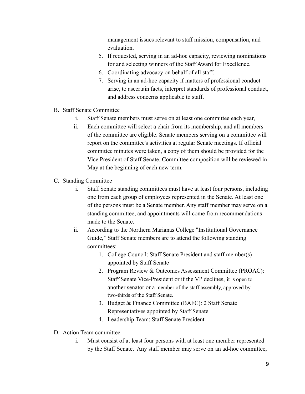management issues relevant to staff mission, compensation, and evaluation.

- 5. If requested, serving in an ad-hoc capacity, reviewing nominations for and selecting winners of the Staff Award for Excellence.
- 6. Coordinating advocacy on behalf of all staff.
- 7. Serving in an ad-hoc capacity if matters of professional conduct arise, to ascertain facts, interpret standards of professional conduct, and address concerns applicable to staff.
- B. Staff Senate Committee
	- i. Staff Senate members must serve on at least one committee each year,
	- ii. Each committee will select a chair from its membership, and all members of the committee are eligible. Senate members serving on a committee will report on the committee's activities at regular Senate meetings. If official committee minutes were taken, a copy of them should be provided for the Vice President of Staff Senate. Committee composition will be reviewed in May at the beginning of each new term.
- C. Standing Committee
	- i. Staff Senate standing committees must have at least four persons, including one from each group of employees represented in the Senate. At least one of the persons must be a Senate member. Any staff member may serve on a standing committee, and appointments will come from recommendations made to the Senate.
	- ii. According to the Northern Marianas College "Institutional Governance Guide," Staff Senate members are to attend the following standing committees:
		- 1. College Council: Staff Senate President and staff member(s) appointed by Staff Senate
		- 2. Program Review & Outcomes Assessment Committee (PROAC): Staff Senate Vice-President or if the VP declines, it is open to another senator or a member of the staff assembly, approved by two-thirds of the Staff Senate.
		- 3. Budget & Finance Committee (BAFC): 2 Staff Senate Representatives appointed by Staff Senate
		- 4. Leadership Team: Staff Senate President
- D. Action Team committee
	- i. Must consist of at least four persons with at least one member represented by the Staff Senate. Any staff member may serve on an ad-hoc committee,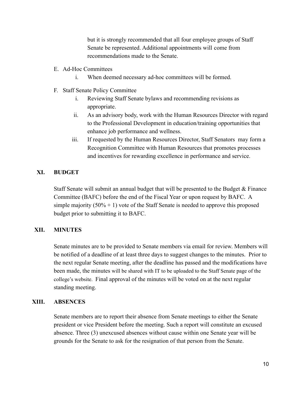but it is strongly recommended that all four employee groups of Staff Senate be represented. Additional appointments will come from recommendations made to the Senate.

- E. Ad-Hoc Committees
	- i. When deemed necessary ad-hoc committees will be formed.
- F. Staff Senate Policy Committee
	- i. Reviewing Staff Senate bylaws and recommending revisions as appropriate.
	- ii. As an advisory body, work with the Human Resources Director with regard to the Professional Development in education/training opportunities that enhance job performance and wellness.
	- iii. If requested by the Human Resources Director, Staff Senators may form a Recognition Committee with Human Resources that promotes processes and incentives for rewarding excellence in performance and service.

### **XI. BUDGET**

Staff Senate will submit an annual budget that will be presented to the Budget & Finance Committee (BAFC) before the end of the Fiscal Year or upon request by BAFC. A simple majority  $(50\% + 1)$  vote of the Staff Senate is needed to approve this proposed budget prior to submitting it to BAFC.

### **XII. MINUTES**

Senate minutes are to be provided to Senate members via email for review. Members will be notified of a deadline of at least three days to suggest changes to the minutes. Prior to the next regular Senate meeting, after the deadline has passed and the modifications have been made, the minutes will be shared with IT to be uploaded to the Staff Senate page of the college's website. Final approval of the minutes will be voted on at the next regular standing meeting.

### **XIII. ABSENCES**

Senate members are to report their absence from Senate meetings to either the Senate president or vice President before the meeting. Such a report will constitute an excused absence. Three (3) unexcused absences without cause within one Senate year will be grounds for the Senate to ask for the resignation of that person from the Senate.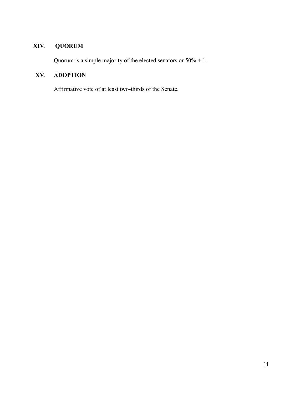## **XIV. QUORUM**

Quorum is a simple majority of the elected senators or 50% + 1.

## **XV. ADOPTION**

Affirmative vote of at least two-thirds of the Senate.